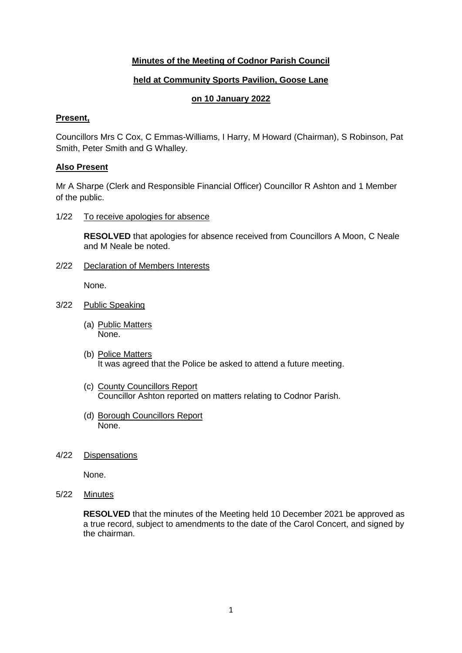## **Minutes of the Meeting of Codnor Parish Council**

## **held at Community Sports Pavilion, Goose Lane**

## **on 10 January 2022**

#### **Present,**

Councillors Mrs C Cox, C Emmas-Williams, I Harry, M Howard (Chairman), S Robinson, Pat Smith, Peter Smith and G Whalley.

#### **Also Present**

Mr A Sharpe (Clerk and Responsible Financial Officer) Councillor R Ashton and 1 Member of the public.

1/22 To receive apologies for absence

**RESOLVED** that apologies for absence received from Councillors A Moon, C Neale and M Neale be noted.

2/22 Declaration of Members Interests

None.

- 3/22 Public Speaking
	- (a) Public Matters None.
	- (b) Police Matters It was agreed that the Police be asked to attend a future meeting.
	- (c) County Councillors Report Councillor Ashton reported on matters relating to Codnor Parish.
	- (d) Borough Councillors Report None.
- 4/22 Dispensations

None.

5/22 Minutes

**RESOLVED** that the minutes of the Meeting held 10 December 2021 be approved as a true record, subject to amendments to the date of the Carol Concert, and signed by the chairman.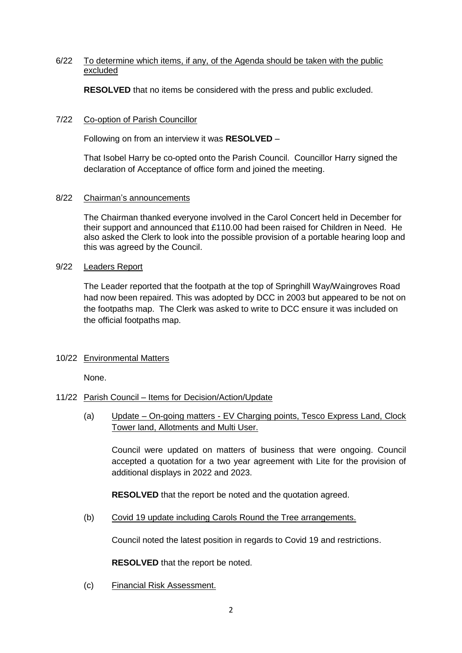### 6/22 To determine which items, if any, of the Agenda should be taken with the public excluded

**RESOLVED** that no items be considered with the press and public excluded.

### 7/22 Co-option of Parish Councillor

Following on from an interview it was **RESOLVED** –

That Isobel Harry be co-opted onto the Parish Council. Councillor Harry signed the declaration of Acceptance of office form and joined the meeting.

### 8/22 Chairman's announcements

The Chairman thanked everyone involved in the Carol Concert held in December for their support and announced that £110.00 had been raised for Children in Need. He also asked the Clerk to look into the possible provision of a portable hearing loop and this was agreed by the Council.

#### 9/22 Leaders Report

The Leader reported that the footpath at the top of Springhill Way/Waingroves Road had now been repaired. This was adopted by DCC in 2003 but appeared to be not on the footpaths map. The Clerk was asked to write to DCC ensure it was included on the official footpaths map.

### 10/22 Environmental Matters

None.

### 11/22 Parish Council – Items for Decision/Action/Update

(a) Update – On-going matters - EV Charging points, Tesco Express Land, Clock Tower land, Allotments and Multi User.

Council were updated on matters of business that were ongoing. Council accepted a quotation for a two year agreement with Lite for the provision of additional displays in 2022 and 2023.

**RESOLVED** that the report be noted and the quotation agreed.

(b) Covid 19 update including Carols Round the Tree arrangements.

Council noted the latest position in regards to Covid 19 and restrictions.

**RESOLVED** that the report be noted.

(c) Financial Risk Assessment.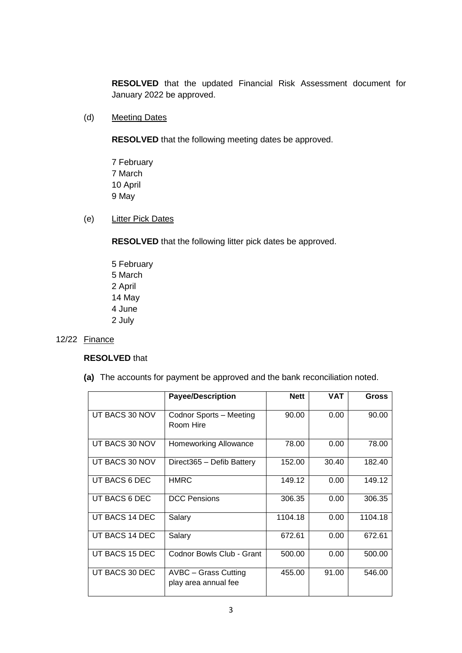**RESOLVED** that the updated Financial Risk Assessment document for January 2022 be approved.

(d) Meeting Dates

**RESOLVED** that the following meeting dates be approved.

- 7 February 7 March 10 April 9 May
- (e) Litter Pick Dates

**RESOLVED** that the following litter pick dates be approved.

5 February 5 March 2 April 14 May 4 June 2 July

### 12/22 Finance

### **RESOLVED** that

**(a)** The accounts for payment be approved and the bank reconciliation noted.

|                | <b>Payee/Description</b>                            | <b>Nett</b> | <b>VAT</b> | <b>Gross</b> |
|----------------|-----------------------------------------------------|-------------|------------|--------------|
| UT BACS 30 NOV | Codnor Sports - Meeting<br>Room Hire                | 90.00       | 0.00       | 90.00        |
| UT BACS 30 NOV | Homeworking Allowance                               | 78.00       | 0.00       | 78.00        |
| UT BACS 30 NOV | Direct365 - Defib Battery                           | 152.00      | 30.40      | 182.40       |
| UT BACS 6 DEC  | <b>HMRC</b>                                         | 149.12      | 0.00       | 149.12       |
| UT BACS 6 DEC  | <b>DCC Pensions</b>                                 | 306.35      | 0.00       | 306.35       |
| UT BACS 14 DEC | Salary                                              | 1104.18     | 0.00       | 1104.18      |
| UT BACS 14 DEC | Salary                                              | 672.61      | 0.00       | 672.61       |
| UT BACS 15 DEC | Codnor Bowls Club - Grant                           | 500.00      | 0.00       | 500.00       |
| UT BACS 30 DEC | <b>AVBC - Grass Cutting</b><br>play area annual fee | 455.00      | 91.00      | 546.00       |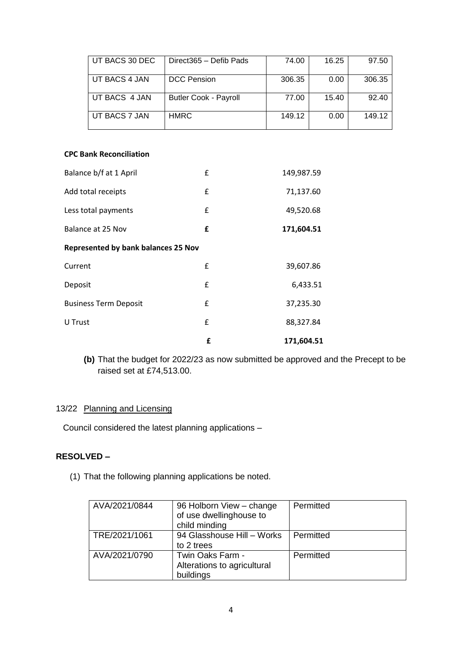| UT BACS 30 DEC | Direct365 - Defib Pads       | 74.00  | 16.25 | 97.50  |
|----------------|------------------------------|--------|-------|--------|
| UT BACS 4 JAN  | <b>DCC</b> Pension           | 306.35 | 0.00  | 306.35 |
| UT BACS 4 JAN  | <b>Butler Cook - Payroll</b> | 77.00  | 15.40 | 92.40  |
| UT BACS 7 JAN  | <b>HMRC</b>                  | 149.12 | 0.00  | 149.12 |

#### **CPC Bank Reconciliation**

| Balance b/f at 1 April                     | £ | 149,987.59 |  |  |
|--------------------------------------------|---|------------|--|--|
| Add total receipts                         | £ | 71,137.60  |  |  |
| Less total payments                        | £ | 49,520.68  |  |  |
| Balance at 25 Nov                          | £ | 171,604.51 |  |  |
| <b>Represented by bank balances 25 Nov</b> |   |            |  |  |
| Current                                    | £ | 39,607.86  |  |  |
| Deposit                                    | £ | 6,433.51   |  |  |
| <b>Business Term Deposit</b>               | £ | 37,235.30  |  |  |
| U Trust                                    | £ | 88,327.84  |  |  |
|                                            | £ | 171,604.51 |  |  |

**(b)** That the budget for 2022/23 as now submitted be approved and the Precept to be raised set at £74,513.00.

## 13/22 Planning and Licensing

Council considered the latest planning applications –

#### **RESOLVED –**

(1) That the following planning applications be noted.

| AVA/2021/0844 | 96 Holborn View - change<br>of use dwellinghouse to<br>child minding | Permitted |
|---------------|----------------------------------------------------------------------|-----------|
| TRE/2021/1061 | 94 Glasshouse Hill - Works<br>to 2 trees                             | Permitted |
| AVA/2021/0790 | Twin Oaks Farm -<br>Alterations to agricultural<br>buildings         | Permitted |